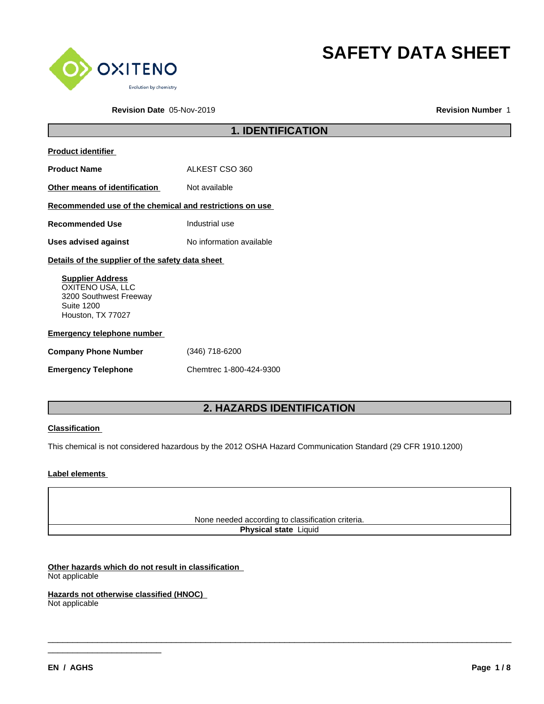

**SAFETY DATA SHEET**

**Revision Date** 05-Nov-2019 **Revision Number** 1

|                                                                                                                 | <b>1. IDENTIFICATION</b> |
|-----------------------------------------------------------------------------------------------------------------|--------------------------|
| <b>Product identifier</b>                                                                                       |                          |
| <b>Product Name</b>                                                                                             | ALKEST CSO 360           |
| Other means of identification                                                                                   | Not available            |
| Recommended use of the chemical and restrictions on use                                                         |                          |
| <b>Recommended Use</b>                                                                                          | Industrial use           |
| <b>Uses advised against</b>                                                                                     | No information available |
| Details of the supplier of the safety data sheet                                                                |                          |
| <b>Supplier Address</b><br>OXITENO USA, LLC<br>3200 Southwest Freeway<br><b>Suite 1200</b><br>Houston, TX 77027 |                          |
| <b>Emergency telephone number</b>                                                                               |                          |
| <b>Company Phone Number</b>                                                                                     | $(346)$ 718-6200         |
| <b>Emergency Telephone</b>                                                                                      | Chemtrec 1-800-424-9300  |

# **2. HAZARDS IDENTIFICATION**

#### **Classification**

This chemical is not considered hazardous by the 2012 OSHA Hazard Communication Standard (29 CFR 1910.1200)

#### **Label elements**

None needed according to classification criteria.

**Physical state** Liquid

\_\_\_\_\_\_\_\_\_\_\_\_\_\_\_\_\_\_\_\_\_\_\_\_\_\_\_\_\_\_\_\_\_\_\_\_\_\_\_\_\_\_\_\_\_\_\_\_\_\_\_\_\_\_\_\_\_\_\_\_\_\_\_\_\_\_\_\_\_\_\_\_\_\_\_\_\_\_\_\_\_\_\_\_\_\_\_\_\_\_\_\_\_\_

**Other hazards which do not result in classification** Not applicable

 $\frac{1}{2}$  , and the set of the set of the set of the set of the set of the set of the set of the set of the set of the set of the set of the set of the set of the set of the set of the set of the set of the set of the set

**Hazards not otherwise classified (HNOC)** Not applicable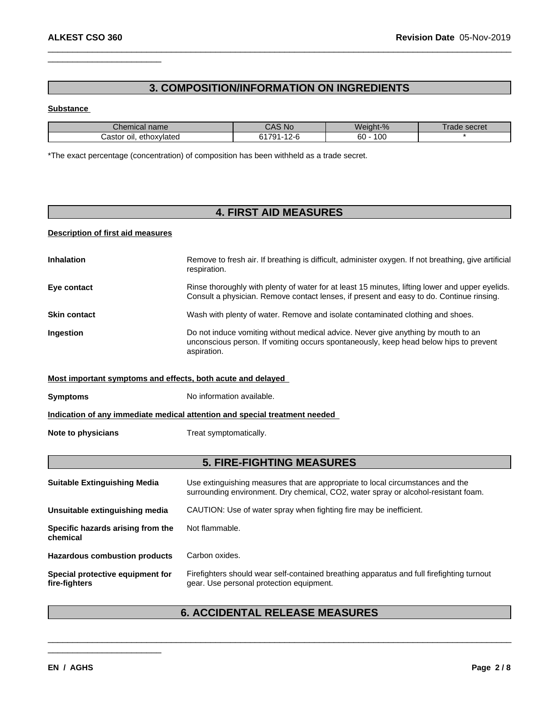### **3. COMPOSITION/INFORMATION ON INGREDIENTS**

 $\_$  ,  $\_$  ,  $\_$  ,  $\_$  ,  $\_$  ,  $\_$  ,  $\_$  ,  $\_$  ,  $\_$  ,  $\_$  ,  $\_$  ,  $\_$  ,  $\_$  ,  $\_$  ,  $\_$  ,  $\_$  ,  $\_$  ,  $\_$  ,  $\_$  ,  $\_$  ,  $\_$  ,  $\_$  ,  $\_$  ,  $\_$  ,  $\_$  ,  $\_$  ,  $\_$  ,  $\_$  ,  $\_$  ,  $\_$  ,  $\_$  ,  $\_$  ,  $\_$  ,  $\_$  ,  $\_$  ,  $\_$  ,  $\_$  ,

#### **Substance**

| name<br>Chemical              | <b>No</b><br>$\overline{\phantom{a}}$<br>$\overline{\phantom{a}}$ | Weight-%          | secret<br>1d0t |
|-------------------------------|-------------------------------------------------------------------|-------------------|----------------|
| ethoxylated<br>Castor<br>OII. | 1701<br>$\sim$                                                    | 10C<br>r o<br>60. |                |

\*The exact percentage (concentration) of composition has been withheld as a trade secret.

# **4. FIRST AID MEASURES**

#### **Description of first aid measures**

| <b>Inhalation</b>   | Remove to fresh air. If breathing is difficult, administer oxygen. If not breathing, give artificial<br>respiration.                                                                        |
|---------------------|---------------------------------------------------------------------------------------------------------------------------------------------------------------------------------------------|
| Eye contact         | Rinse thoroughly with plenty of water for at least 15 minutes, lifting lower and upper eyelids.<br>Consult a physician. Remove contact lenses, if present and easy to do. Continue rinsing. |
| <b>Skin contact</b> | Wash with plenty of water. Remove and isolate contaminated clothing and shoes.                                                                                                              |
| <b>Ingestion</b>    | Do not induce vomiting without medical advice. Never give anything by mouth to an<br>unconscious person. If vomiting occurs spontaneously, keep head below hips to prevent<br>aspiration.   |
|                     | Most important symptoms and effects, both acute and delayed                                                                                                                                 |
| <b>Symptoms</b>     | No information available.                                                                                                                                                                   |

**Indication of any immediate medical attention and special treatment needed**

**Note to physicians** Treat symptomatically.

 $\frac{1}{2}$  , and the set of the set of the set of the set of the set of the set of the set of the set of the set of the set of the set of the set of the set of the set of the set of the set of the set of the set of the set

### **5. FIRE-FIGHTING MEASURES**

| <b>Suitable Extinguishing Media</b>               | Use extinguishing measures that are appropriate to local circumstances and the<br>surrounding environment. Dry chemical, CO2, water spray or alcohol-resistant foam. |
|---------------------------------------------------|----------------------------------------------------------------------------------------------------------------------------------------------------------------------|
| Unsuitable extinguishing media                    | CAUTION: Use of water spray when fighting fire may be inefficient.                                                                                                   |
| Specific hazards arising from the<br>chemical     | Not flammable.                                                                                                                                                       |
| <b>Hazardous combustion products</b>              | Carbon oxides.                                                                                                                                                       |
| Special protective equipment for<br>fire-fighters | Firefighters should wear self-contained breathing apparatus and full firefighting turnout<br>gear. Use personal protection equipment.                                |

# **6. ACCIDENTAL RELEASE MEASURES**

\_\_\_\_\_\_\_\_\_\_\_\_\_\_\_\_\_\_\_\_\_\_\_\_\_\_\_\_\_\_\_\_\_\_\_\_\_\_\_\_\_\_\_\_\_\_\_\_\_\_\_\_\_\_\_\_\_\_\_\_\_\_\_\_\_\_\_\_\_\_\_\_\_\_\_\_\_\_\_\_\_\_\_\_\_\_\_\_\_\_\_\_\_\_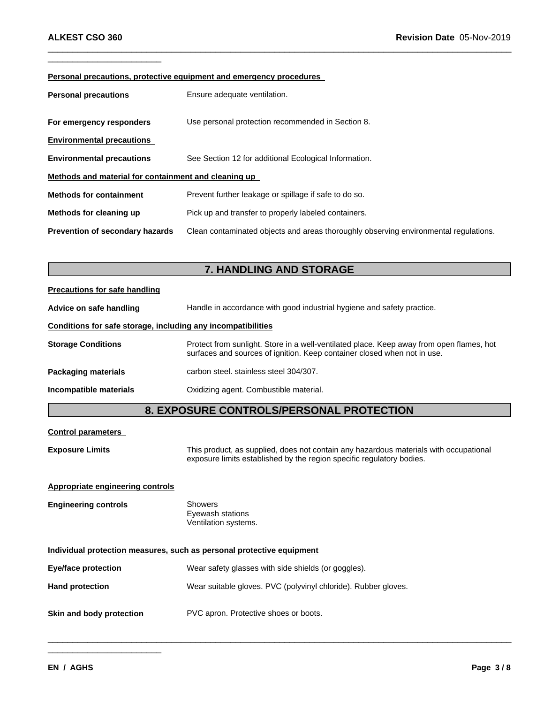#### **Personal precautions, protective equipment and emergency procedures**

| <b>Personal precautions</b>                          | Ensure adequate ventilation.                                                         |
|------------------------------------------------------|--------------------------------------------------------------------------------------|
| For emergency responders                             | Use personal protection recommended in Section 8.                                    |
| <b>Environmental precautions</b>                     |                                                                                      |
| <b>Environmental precautions</b>                     | See Section 12 for additional Ecological Information.                                |
| Methods and material for containment and cleaning up |                                                                                      |
| <b>Methods for containment</b>                       | Prevent further leakage or spillage if safe to do so.                                |
| Methods for cleaning up                              | Pick up and transfer to properly labeled containers.                                 |
| <b>Prevention of secondary hazards</b>               | Clean contaminated objects and areas thoroughly observing environmental regulations. |

 $\_$  ,  $\_$  ,  $\_$  ,  $\_$  ,  $\_$  ,  $\_$  ,  $\_$  ,  $\_$  ,  $\_$  ,  $\_$  ,  $\_$  ,  $\_$  ,  $\_$  ,  $\_$  ,  $\_$  ,  $\_$  ,  $\_$  ,  $\_$  ,  $\_$  ,  $\_$  ,  $\_$  ,  $\_$  ,  $\_$  ,  $\_$  ,  $\_$  ,  $\_$  ,  $\_$  ,  $\_$  ,  $\_$  ,  $\_$  ,  $\_$  ,  $\_$  ,  $\_$  ,  $\_$  ,  $\_$  ,  $\_$  ,  $\_$  ,

### **7. HANDLING AND STORAGE**

# **Precautions for safe handling Advice on safe handling** Handle in accordance with good industrial hygiene and safety practice. **Conditions for safe storage, including any incompatibilities Storage Conditions** Protect from sunlight. Store in a well-ventilated place. Keep away from open flames, hot surfaces and sources of ignition. Keep container closed when not in use. **Packaging materials** carbon steel. stainless steel 304/307. **Incompatible materials** Oxidizing agent. Combustible material.

### **8. EXPOSURE CONTROLS/PERSONAL PROTECTION**

\_\_\_\_\_\_\_\_\_\_\_\_\_\_\_\_\_\_\_\_\_\_\_\_\_\_\_\_\_\_\_\_\_\_\_\_\_\_\_\_\_\_\_\_\_\_\_\_\_\_\_\_\_\_\_\_\_\_\_\_\_\_\_\_\_\_\_\_\_\_\_\_\_\_\_\_\_\_\_\_\_\_\_\_\_\_\_\_\_\_\_\_\_\_

#### **Control parameters**

**Exposure Limits** This product, as supplied, does not contain any hazardous materials with occupational exposure limits established by the region specific regulatory bodies.

#### **Appropriate engineering controls**

| <b>Engineering controls</b> | Showers              |  |
|-----------------------------|----------------------|--|
|                             | Eyewash stations     |  |
|                             | Ventilation systems. |  |

 $\frac{1}{2}$  , and the set of the set of the set of the set of the set of the set of the set of the set of the set of the set of the set of the set of the set of the set of the set of the set of the set of the set of the set

#### **Individual protection measures, such as personal protective equipment**

| Eye/face protection      | Wear safety glasses with side shields (or goggles).            |
|--------------------------|----------------------------------------------------------------|
| <b>Hand protection</b>   | Wear suitable gloves. PVC (polyvinyl chloride). Rubber gloves. |
| Skin and body protection | PVC apron. Protective shoes or boots.                          |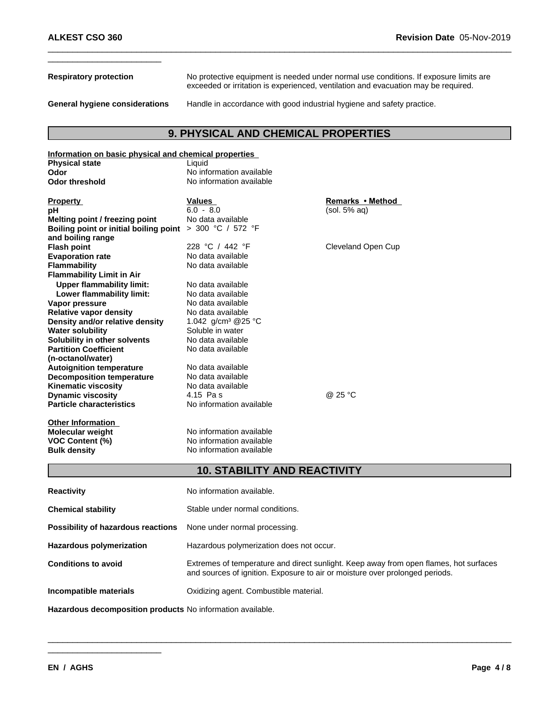**Respiratory protection** No protective equipment is needed under normal use conditions. If exposure limits are exceeded or irritation is experienced, ventilation and evacuation may be required.

 $\_$  ,  $\_$  ,  $\_$  ,  $\_$  ,  $\_$  ,  $\_$  ,  $\_$  ,  $\_$  ,  $\_$  ,  $\_$  ,  $\_$  ,  $\_$  ,  $\_$  ,  $\_$  ,  $\_$  ,  $\_$  ,  $\_$  ,  $\_$  ,  $\_$  ,  $\_$  ,  $\_$  ,  $\_$  ,  $\_$  ,  $\_$  ,  $\_$  ,  $\_$  ,  $\_$  ,  $\_$  ,  $\_$  ,  $\_$  ,  $\_$  ,  $\_$  ,  $\_$  ,  $\_$  ,  $\_$  ,  $\_$  ,  $\_$  ,

**General hygiene considerations** Handle in accordance with good industrial hygiene and safety practice.

# **9. PHYSICAL AND CHEMICAL PROPERTIES**

| Information on basic physical and chemical properties      |                                                                                                                                                                                                                                 |                    |  |
|------------------------------------------------------------|---------------------------------------------------------------------------------------------------------------------------------------------------------------------------------------------------------------------------------|--------------------|--|
| <b>Physical state</b>                                      | Liquid                                                                                                                                                                                                                          |                    |  |
| Odor                                                       | No information available                                                                                                                                                                                                        |                    |  |
| <b>Odor threshold</b>                                      | No information available                                                                                                                                                                                                        |                    |  |
| <b>Property</b>                                            | <b>Values</b>                                                                                                                                                                                                                   | Remarks • Method   |  |
| рH                                                         | $6.0 - 8.0$                                                                                                                                                                                                                     | (sol. 5% aq)       |  |
| Melting point / freezing point                             | No data available                                                                                                                                                                                                               |                    |  |
| Boiling point or initial boiling point $>$ 300 °C / 572 °F |                                                                                                                                                                                                                                 |                    |  |
| and boiling range                                          |                                                                                                                                                                                                                                 |                    |  |
| <b>Flash point</b>                                         | 228 °C / 442 °F                                                                                                                                                                                                                 | Cleveland Open Cup |  |
| <b>Evaporation rate</b>                                    | No data available                                                                                                                                                                                                               |                    |  |
| <b>Flammability</b>                                        | No data available                                                                                                                                                                                                               |                    |  |
| <b>Flammability Limit in Air</b>                           |                                                                                                                                                                                                                                 |                    |  |
| <b>Upper flammability limit:</b>                           | No data available                                                                                                                                                                                                               |                    |  |
| Lower flammability limit:                                  | No data available                                                                                                                                                                                                               |                    |  |
| Vapor pressure                                             | No data available                                                                                                                                                                                                               |                    |  |
| <b>Relative vapor density</b>                              | No data available                                                                                                                                                                                                               |                    |  |
| Density and/or relative density                            | 1.042 g/cm <sup>3</sup> @ 25 °C                                                                                                                                                                                                 |                    |  |
| <b>Water solubility</b>                                    | Soluble in water                                                                                                                                                                                                                |                    |  |
| Solubility in other solvents                               | No data available                                                                                                                                                                                                               |                    |  |
| <b>Partition Coefficient</b>                               | No data available                                                                                                                                                                                                               |                    |  |
| (n-octanol/water)                                          |                                                                                                                                                                                                                                 |                    |  |
| <b>Autoignition temperature</b>                            | No data available                                                                                                                                                                                                               |                    |  |
| <b>Decomposition temperature</b>                           | No data available                                                                                                                                                                                                               |                    |  |
| <b>Kinematic viscosity</b>                                 | No data available                                                                                                                                                                                                               |                    |  |
| <b>Dynamic viscosity</b>                                   | 4.15 Pas                                                                                                                                                                                                                        | @ 25 °C            |  |
| <b>Particle characteristics</b>                            | No information available                                                                                                                                                                                                        |                    |  |
|                                                            |                                                                                                                                                                                                                                 |                    |  |
| <b>Other Information</b>                                   |                                                                                                                                                                                                                                 |                    |  |
| <b>Molecular weight</b>                                    | No information available                                                                                                                                                                                                        |                    |  |
| VOC Content (%)                                            | No information available                                                                                                                                                                                                        |                    |  |
| <b>Bulk density</b>                                        | No information available                                                                                                                                                                                                        |                    |  |
|                                                            | <b>10. STABILITY AND REACTIVITY</b>                                                                                                                                                                                             |                    |  |
| <b>Reactivity</b>                                          | No information available.                                                                                                                                                                                                       |                    |  |
|                                                            |                                                                                                                                                                                                                                 |                    |  |
| <b>Chemical stability</b>                                  | Stable under normal conditions.                                                                                                                                                                                                 |                    |  |
| Possibility of hazardous reactions                         | None under normal processing.                                                                                                                                                                                                   |                    |  |
| <b>Hazardous polymerization</b>                            | Hazardous polymerization does not occur.                                                                                                                                                                                        |                    |  |
|                                                            | $\sim$ . The contract of the contract of the contract of the contract of the contract of the contract of the contract of the contract of the contract of the contract of the contract of the contract of the contract of the co |                    |  |

**Conditions to avoid** Extremes of temperature and direct sunlight. Keep away from open flames, hot surfaces and sources of ignition. Exposure to air or moisture over prolonged periods.

\_\_\_\_\_\_\_\_\_\_\_\_\_\_\_\_\_\_\_\_\_\_\_\_\_\_\_\_\_\_\_\_\_\_\_\_\_\_\_\_\_\_\_\_\_\_\_\_\_\_\_\_\_\_\_\_\_\_\_\_\_\_\_\_\_\_\_\_\_\_\_\_\_\_\_\_\_\_\_\_\_\_\_\_\_\_\_\_\_\_\_\_\_\_

**Incompatible materials** Oxidizing agent. Combustible material.

**Hazardous decomposition products** No information available.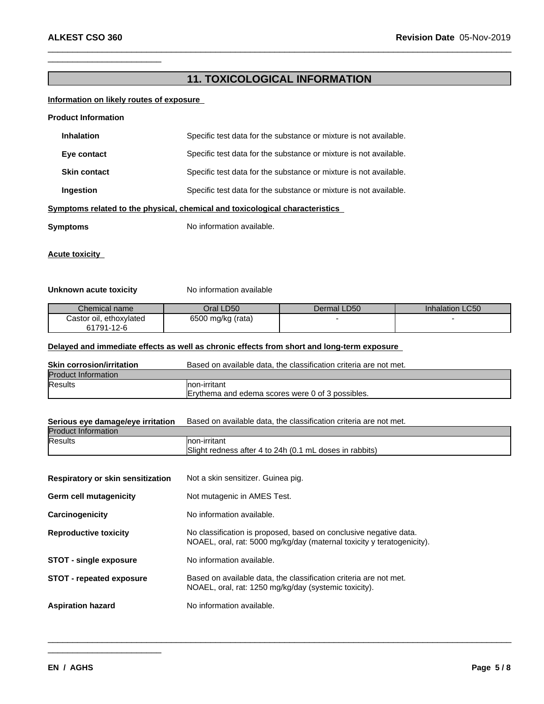### **11. TOXICOLOGICAL INFORMATION**

 $\_$  ,  $\_$  ,  $\_$  ,  $\_$  ,  $\_$  ,  $\_$  ,  $\_$  ,  $\_$  ,  $\_$  ,  $\_$  ,  $\_$  ,  $\_$  ,  $\_$  ,  $\_$  ,  $\_$  ,  $\_$  ,  $\_$  ,  $\_$  ,  $\_$  ,  $\_$  ,  $\_$  ,  $\_$  ,  $\_$  ,  $\_$  ,  $\_$  ,  $\_$  ,  $\_$  ,  $\_$  ,  $\_$  ,  $\_$  ,  $\_$  ,  $\_$  ,  $\_$  ,  $\_$  ,  $\_$  ,  $\_$  ,  $\_$  ,

#### **Information on likely routes of exposure**

#### **Product Information**

| <b>Inhalation</b>   | Specific test data for the substance or mixture is not available.            |
|---------------------|------------------------------------------------------------------------------|
| Eye contact         | Specific test data for the substance or mixture is not available.            |
| <b>Skin contact</b> | Specific test data for the substance or mixture is not available.            |
| Ingestion           | Specific test data for the substance or mixture is not available.            |
|                     | Symptoms related to the physical, chemical and toxicological characteristics |
| Symptoms            | No information available.                                                    |

**Acute toxicity**

#### **Unknown acute toxicity** No information available

| Chemical name           | Oral LD50         | Dermal LD50 | Inhalation LC50 |
|-------------------------|-------------------|-------------|-----------------|
| Castor oil, ethoxylated | 6500 mg/kg (rata) |             |                 |
| 61791-12-6              |                   |             |                 |

#### **Delayed and immediate effects as well as chronic effects from short and long-term exposure**

| <b>Skin corrosion/irritation</b> | Based on available data, the classification criteria are not met. |
|----------------------------------|-------------------------------------------------------------------|
| <b>Product Information</b>       |                                                                   |
| <b>Results</b>                   | Inon-irritant                                                     |
|                                  | Erythema and edema scores were 0 of 3 possibles.                  |

# **Serious eye damage/eye irritation** Based on available data, the classification criteria are not met. Product Information Results **non-irritant** Slight redness after 4 to 24h (0.1 mL doses in rabbits) **Respiratory or skin sensitization** Not a skin sensitizer. Guinea pig. **Germ cell mutagenicity** Not mutagenic in AMES Test. **Carcinogenicity** No information available. **Reproductive toxicity** No classification isproposed, based on conclusive negative data. NOAEL, oral, rat: 5000 mg/kg/day (maternal toxicity y teratogenicity). **STOT** - **single exposure** No information available. **STOT** - repeated exposure **Based on available data, the classification criteria are not met.** NOAEL, oral, rat: 1250 mg/kg/day (systemic toxicity). **Aspiration hazard** No information available.

\_\_\_\_\_\_\_\_\_\_\_\_\_\_\_\_\_\_\_\_\_\_\_\_\_\_\_\_\_\_\_\_\_\_\_\_\_\_\_\_\_\_\_\_\_\_\_\_\_\_\_\_\_\_\_\_\_\_\_\_\_\_\_\_\_\_\_\_\_\_\_\_\_\_\_\_\_\_\_\_\_\_\_\_\_\_\_\_\_\_\_\_\_\_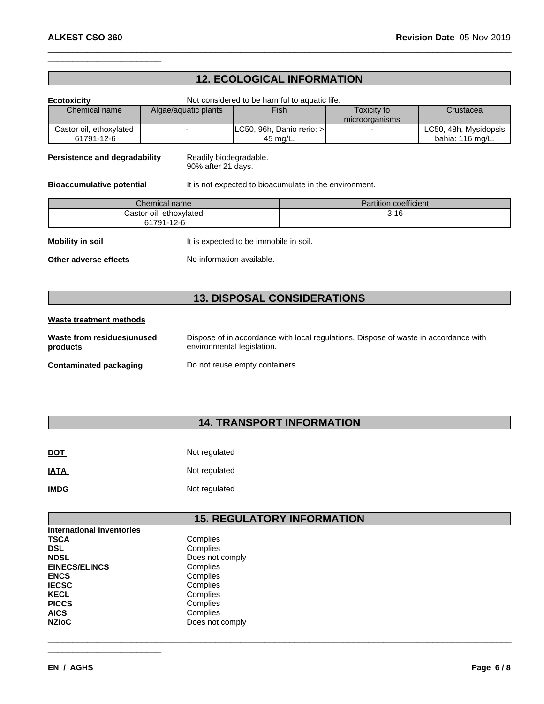## **12. ECOLOGICAL INFORMATION**

 $\_$  ,  $\_$  ,  $\_$  ,  $\_$  ,  $\_$  ,  $\_$  ,  $\_$  ,  $\_$  ,  $\_$  ,  $\_$  ,  $\_$  ,  $\_$  ,  $\_$  ,  $\_$  ,  $\_$  ,  $\_$  ,  $\_$  ,  $\_$  ,  $\_$  ,  $\_$  ,  $\_$  ,  $\_$  ,  $\_$  ,  $\_$  ,  $\_$  ,  $\_$  ,  $\_$  ,  $\_$  ,  $\_$  ,  $\_$  ,  $\_$  ,  $\_$  ,  $\_$  ,  $\_$  ,  $\_$  ,  $\_$  ,  $\_$  ,

| <b>Ecotoxicity</b>                    |                                              | Not considered to be harmful to aquatic life.          |                               |                                           |  |
|---------------------------------------|----------------------------------------------|--------------------------------------------------------|-------------------------------|-------------------------------------------|--|
| Chemical name                         | Algae/aquatic plants                         | <b>Fish</b>                                            | Toxicity to<br>microorganisms | Crustacea                                 |  |
| Castor oil, ethoxylated<br>61791-12-6 |                                              | LC50, 96h, Danio rerio: ><br>45 mg/L.                  |                               | LC50, 48h, Mysidopsis<br>bahia: 116 mg/L. |  |
| Persistence and degradability         | Readily biodegradable.<br>90% after 21 days. |                                                        |                               |                                           |  |
| <b>Bioaccumulative potential</b>      |                                              | It is not expected to bioacumulate in the environment. |                               |                                           |  |
|                                       | Chemical name                                |                                                        | <b>Partition coefficient</b>  |                                           |  |
|                                       | Castor oil, ethoxylated<br>61791-12-6        |                                                        | 3.16                          |                                           |  |
| <b>Mobility in soil</b>               |                                              | It is expected to be immobile in soil.                 |                               |                                           |  |
| Other adverse effects                 |                                              | No information available.                              |                               |                                           |  |

# **13. DISPOSAL CONSIDERATIONS**

### **Waste treatment methods**

| Waste from residues/unused    | Dispose of in accordance with local regulations. Dispose of waste in accordance with |
|-------------------------------|--------------------------------------------------------------------------------------|
| products                      | environmental legislation.                                                           |
| <b>Contaminated packaging</b> | Do not reuse empty containers.                                                       |

# **14. TRANSPORT INFORMATION**

| <b>DOT</b>  | Not regulated |
|-------------|---------------|
| <b>IATA</b> | Not regulated |
| <b>IMDG</b> | Not regulated |

### **15. REGULATORY INFORMATION**

\_\_\_\_\_\_\_\_\_\_\_\_\_\_\_\_\_\_\_\_\_\_\_\_\_\_\_\_\_\_\_\_\_\_\_\_\_\_\_\_\_\_\_\_\_\_\_\_\_\_\_\_\_\_\_\_\_\_\_\_\_\_\_\_\_\_\_\_\_\_\_\_\_\_\_\_\_\_\_\_\_\_\_\_\_\_\_\_\_\_\_\_\_\_

| <b>International Inventories</b> |                 |
|----------------------------------|-----------------|
| <b>TSCA</b>                      | Complies        |
| <b>DSL</b>                       | Complies        |
| <b>NDSL</b>                      | Does not comply |
| <b>EINECS/ELINCS</b>             | Complies        |
| <b>ENCS</b>                      | Complies        |
| <b>IECSC</b>                     | Complies        |
| <b>KECL</b>                      | Complies        |
| <b>PICCS</b>                     | Complies        |
| <b>AICS</b>                      | Complies        |
| <b>NZIoC</b>                     | Does not comply |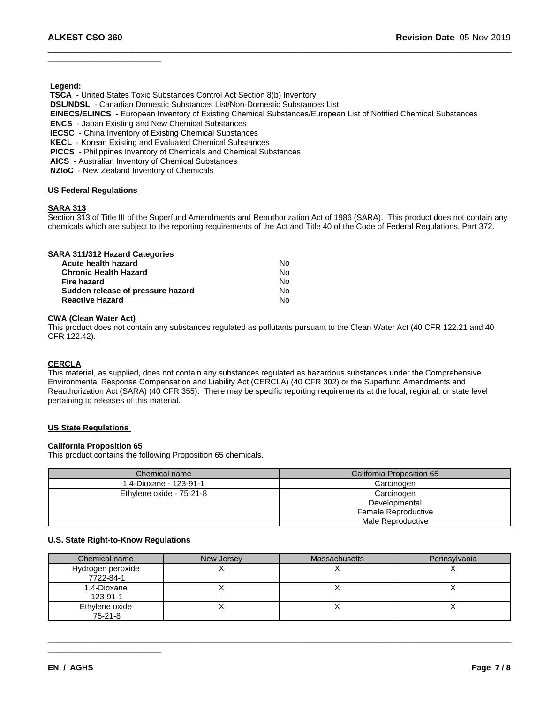**Legend:**

 **TSCA** - United States Toxic Substances Control Act Section 8(b) Inventory

 **DSL/NDSL** - Canadian Domestic Substances List/Non-Domestic Substances List

 **EINECS/ELINCS** - European Inventory of Existing Chemical Substances/European List of Notified Chemical Substances

 $\_$  ,  $\_$  ,  $\_$  ,  $\_$  ,  $\_$  ,  $\_$  ,  $\_$  ,  $\_$  ,  $\_$  ,  $\_$  ,  $\_$  ,  $\_$  ,  $\_$  ,  $\_$  ,  $\_$  ,  $\_$  ,  $\_$  ,  $\_$  ,  $\_$  ,  $\_$  ,  $\_$  ,  $\_$  ,  $\_$  ,  $\_$  ,  $\_$  ,  $\_$  ,  $\_$  ,  $\_$  ,  $\_$  ,  $\_$  ,  $\_$  ,  $\_$  ,  $\_$  ,  $\_$  ,  $\_$  ,  $\_$  ,  $\_$  ,

 **ENCS** - Japan Existing and New Chemical Substances

 **IECSC** - China Inventory of Existing Chemical Substances

 **KECL** - Korean Existing and Evaluated Chemical Substances

 **PICCS** - Philippines Inventory of Chemicals and Chemical Substances

 **AICS** - Australian Inventory of Chemical Substances

 **NZIoC** - New Zealand Inventory of Chemicals

#### **US Federal Regulations**

#### **SARA 313**

Section 313 of Title III of the Superfund Amendments and Reauthorization Act of 1986 (SARA). This product does not contain any chemicals which are subject to the reporting requirements of the Act and Title 40 of the Code of Federal Regulations, Part 372.

| SARA 311/312 Hazard Categories    |    |  |
|-----------------------------------|----|--|
| Acute health hazard               | Nο |  |
| <b>Chronic Health Hazard</b>      | Nο |  |
| <b>Fire hazard</b>                | No |  |
| Sudden release of pressure hazard | No |  |
| <b>Reactive Hazard</b>            | N٥ |  |

#### **CWA (Clean WaterAct)**

This product does not contain any substances regulated as pollutants pursuant to the Clean Water Act (40 CFR 122.21 and 40 CFR 122.42).

#### **CERCLA**

This material, as supplied, does not contain any substances regulated as hazardous substances under the Comprehensive Environmental Response Compensation and Liability Act (CERCLA) (40 CFR 302) or the Superfund Amendments and Reauthorization Act (SARA) (40 CFR 355). There may be specific reporting requirements at the local, regional, or state level pertaining to releases of this material.

#### **US State Regulations**

#### **California Proposition 65**

This product contains the following Proposition 65 chemicals.

 $\frac{1}{2}$  , and the set of the set of the set of the set of the set of the set of the set of the set of the set of the set of the set of the set of the set of the set of the set of the set of the set of the set of the set

| Chemical name            | California Proposition 65 |
|--------------------------|---------------------------|
| 1.4-Dioxane - 123-91-1   | Carcinogen                |
| Ethylene oxide - 75-21-8 | Carcinogen                |
|                          | Developmental             |
|                          | Female Reproductive       |
|                          | Male Reproductive         |

#### **U.S. State Right-to-Know Regulations**

| Chemical name                  | New Jersey | <b>Massachusetts</b> | Pennsylvania |
|--------------------------------|------------|----------------------|--------------|
| Hydrogen peroxide<br>7722-84-1 |            |                      |              |
| 1,4-Dioxane<br>123-91-1        |            |                      |              |
| Ethylene oxide<br>75-21-8      |            |                      |              |

\_\_\_\_\_\_\_\_\_\_\_\_\_\_\_\_\_\_\_\_\_\_\_\_\_\_\_\_\_\_\_\_\_\_\_\_\_\_\_\_\_\_\_\_\_\_\_\_\_\_\_\_\_\_\_\_\_\_\_\_\_\_\_\_\_\_\_\_\_\_\_\_\_\_\_\_\_\_\_\_\_\_\_\_\_\_\_\_\_\_\_\_\_\_